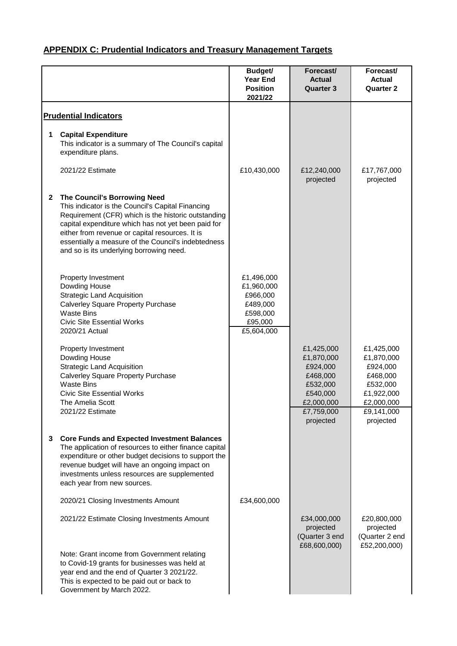|              |                                                                                                                                                                                                                                                                                                                                                       | <b>Budget/</b><br><b>Year End</b><br><b>Position</b><br>2021/22                       | Forecast/<br><b>Actual</b><br><b>Quarter 3</b>                                                       | Forecast/<br><b>Actual</b><br><b>Quarter 2</b>                                                         |
|--------------|-------------------------------------------------------------------------------------------------------------------------------------------------------------------------------------------------------------------------------------------------------------------------------------------------------------------------------------------------------|---------------------------------------------------------------------------------------|------------------------------------------------------------------------------------------------------|--------------------------------------------------------------------------------------------------------|
|              | <b>Prudential Indicators</b>                                                                                                                                                                                                                                                                                                                          |                                                                                       |                                                                                                      |                                                                                                        |
| 1            | <b>Capital Expenditure</b><br>This indicator is a summary of The Council's capital<br>expenditure plans.                                                                                                                                                                                                                                              |                                                                                       |                                                                                                      |                                                                                                        |
|              | 2021/22 Estimate                                                                                                                                                                                                                                                                                                                                      | £10,430,000                                                                           | £12,240,000<br>projected                                                                             | £17,767,000<br>projected                                                                               |
| $\mathbf{2}$ | The Council's Borrowing Need<br>This indicator is the Council's Capital Financing<br>Requirement (CFR) which is the historic outstanding<br>capital expenditure which has not yet been paid for<br>either from revenue or capital resources. It is<br>essentially a measure of the Council's indebtedness<br>and so is its underlying borrowing need. |                                                                                       |                                                                                                      |                                                                                                        |
|              | Property Investment<br>Dowding House<br><b>Strategic Land Acquisition</b><br><b>Calverley Square Property Purchase</b><br><b>Waste Bins</b><br><b>Civic Site Essential Works</b><br>2020/21 Actual                                                                                                                                                    | £1,496,000<br>£1,960,000<br>£966,000<br>£489,000<br>£598,000<br>£95,000<br>£5,604,000 |                                                                                                      |                                                                                                        |
|              | Property Investment<br>Dowding House<br><b>Strategic Land Acquisition</b><br><b>Calverley Square Property Purchase</b><br><b>Waste Bins</b><br><b>Civic Site Essential Works</b><br>The Amelia Scott<br>2021/22 Estimate                                                                                                                              |                                                                                       | £1,425,000<br>£1,870,000<br>£924,000<br>£468,000<br>£532,000<br>£540,000<br>£2,000,000<br>£7,759,000 | £1,425,000<br>£1,870,000<br>£924,000<br>£468,000<br>£532,000<br>£1,922,000<br>£2,000,000<br>£9,141,000 |
| 3.           | <b>Core Funds and Expected Investment Balances</b><br>The application of resources to either finance capital<br>expenditure or other budget decisions to support the<br>revenue budget will have an ongoing impact on<br>investments unless resources are supplemented<br>each year from new sources.                                                 |                                                                                       | projected                                                                                            | projected                                                                                              |
|              | 2020/21 Closing Investments Amount                                                                                                                                                                                                                                                                                                                    | £34,600,000                                                                           |                                                                                                      |                                                                                                        |
|              | 2021/22 Estimate Closing Investments Amount                                                                                                                                                                                                                                                                                                           |                                                                                       | £34,000,000<br>projected<br>(Quarter 3 end<br>£68,600,000)                                           | £20,800,000<br>projected<br>(Quarter 2 end<br>£52,200,000)                                             |
|              | Note: Grant income from Government relating<br>to Covid-19 grants for businesses was held at<br>year end and the end of Quarter 3 2021/22.<br>This is expected to be paid out or back to<br>Government by March 2022.                                                                                                                                 |                                                                                       |                                                                                                      |                                                                                                        |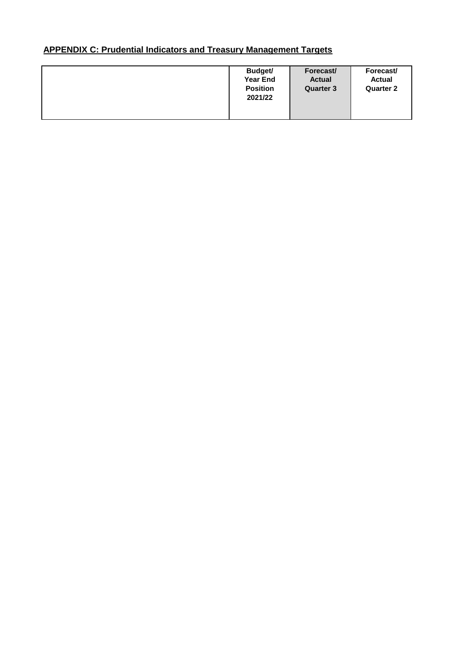| Budget/<br><b>Year End</b><br><b>Position</b><br>2021/22 | Forecast/<br><b>Actual</b><br><b>Quarter 3</b> | Forecast/<br><b>Actual</b><br><b>Quarter 2</b> |
|----------------------------------------------------------|------------------------------------------------|------------------------------------------------|
|                                                          |                                                |                                                |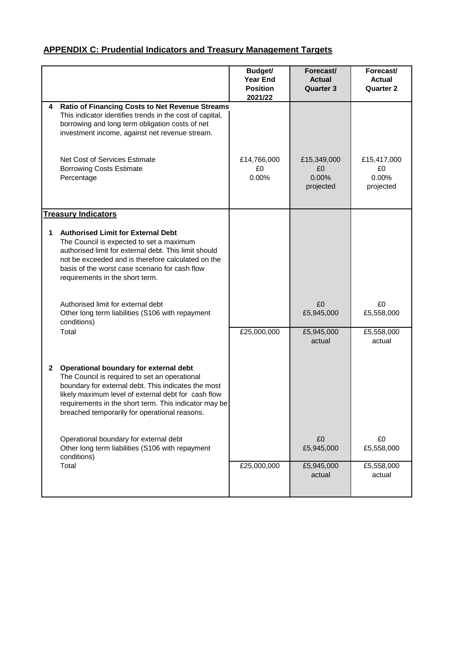|              |                                                                                                                                                                                                                                                                                                                 | Budget/<br><b>Year End</b><br><b>Position</b><br>2021/22 | Forecast/<br><b>Actual</b><br><b>Quarter 3</b> | Forecast/<br><b>Actual</b><br><b>Quarter 2</b> |
|--------------|-----------------------------------------------------------------------------------------------------------------------------------------------------------------------------------------------------------------------------------------------------------------------------------------------------------------|----------------------------------------------------------|------------------------------------------------|------------------------------------------------|
| 4            | Ratio of Financing Costs to Net Revenue Streams<br>This indicator identifies trends in the cost of capital,<br>borrowing and long term obligation costs of net<br>investment income, against net revenue stream.                                                                                                |                                                          |                                                |                                                |
|              | Net Cost of Services Estimate<br><b>Borrowing Costs Estimate</b><br>Percentage                                                                                                                                                                                                                                  | £14,766,000<br>£0<br>0.00%                               | £15,349,000<br>£0<br>0.00%<br>projected        | £15,417,000<br>£0<br>0.00%<br>projected        |
|              | <b>Treasury Indicators</b>                                                                                                                                                                                                                                                                                      |                                                          |                                                |                                                |
| 1            | <b>Authorised Limit for External Debt</b><br>The Council is expected to set a maximum<br>authorised limit for external debt. This limit should<br>not be exceeded and is therefore calculated on the<br>basis of the worst case scenario for cash flow<br>requirements in the short term.                       |                                                          |                                                |                                                |
|              | Authorised limit for external debt<br>Other long term liabilities (S106 with repayment<br>conditions)                                                                                                                                                                                                           |                                                          | £0<br>£5,945,000                               | £0<br>£5,558,000                               |
|              | Total                                                                                                                                                                                                                                                                                                           | £25,000,000                                              | £5,945,000<br>actual                           | £5,558,000<br>actual                           |
| $\mathbf{2}$ | Operational boundary for external debt<br>The Council is required to set an operational<br>boundary for external debt. This indicates the most<br>likely maximum level of external debt for cash flow<br>requirements in the short term. This indicator may be<br>breached temporarily for operational reasons. |                                                          |                                                |                                                |
|              | Operational boundary for external debt<br>Other long term liabilities (S106 with repayment<br>conditions)                                                                                                                                                                                                       |                                                          | £0<br>£5,945,000                               | £0<br>£5,558,000                               |
|              | Total                                                                                                                                                                                                                                                                                                           | £25,000,000                                              | £5,945,000<br>actual                           | £5,558,000<br>actual                           |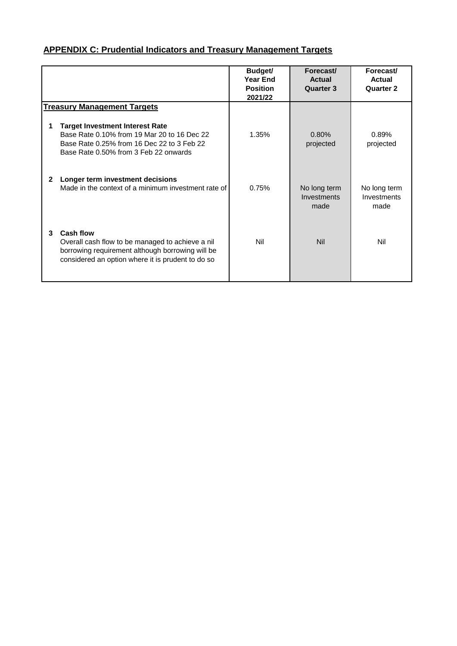|              |                                                                                                                                                                               | <b>Budget/</b><br><b>Year End</b><br><b>Position</b><br>2021/22 | Forecast/<br><b>Actual</b><br>Quarter 3 | Forecast/<br>Actual<br>Quarter 2    |
|--------------|-------------------------------------------------------------------------------------------------------------------------------------------------------------------------------|-----------------------------------------------------------------|-----------------------------------------|-------------------------------------|
|              | <b>Treasury Management Targets</b>                                                                                                                                            |                                                                 |                                         |                                     |
|              | <b>Target Investment Interest Rate</b><br>Base Rate 0.10% from 19 Mar 20 to 16 Dec 22<br>Base Rate 0.25% from 16 Dec 22 to 3 Feb 22<br>Base Rate 0.50% from 3 Feb 22 onwards  | 1.35%                                                           | 0.80%<br>projected                      | 0.89%<br>projected                  |
| $\mathbf{2}$ | Longer term investment decisions<br>Made in the context of a minimum investment rate of                                                                                       | 0.75%                                                           | No long term<br>Investments<br>made     | No long term<br>Investments<br>made |
| 3            | <b>Cash flow</b><br>Overall cash flow to be managed to achieve a nil<br>borrowing requirement although borrowing will be<br>considered an option where it is prudent to do so | Nil                                                             | <b>Nil</b>                              | Nil                                 |